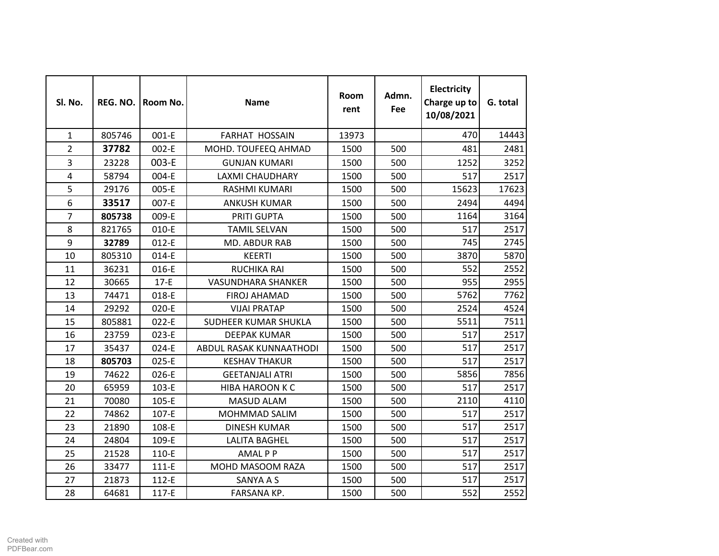| Sl. No.                 | REG. NO. | Room No. | <b>Name</b>               | Room<br>rent | Admn.<br><b>Fee</b> | Electricity<br>Charge up to<br>10/08/2021 | G. total |
|-------------------------|----------|----------|---------------------------|--------------|---------------------|-------------------------------------------|----------|
| $\mathbf{1}$            | 805746   | 001-E    | <b>FARHAT HOSSAIN</b>     | 13973        |                     | 470                                       | 14443    |
| $\overline{2}$          | 37782    | 002-E    | MOHD. TOUFEEQ AHMAD       | 1500         | 500                 | 481                                       | 2481     |
| 3                       | 23228    | 003-E    | <b>GUNJAN KUMARI</b>      | 1500         | 500                 | 1252                                      | 3252     |
| $\overline{\mathbf{4}}$ | 58794    | 004-E    | <b>LAXMI CHAUDHARY</b>    | 1500         | 500                 | 517                                       | 2517     |
| 5                       | 29176    | 005-E    | RASHMI KUMARI             | 1500         | 500                 | 15623                                     | 17623    |
| 6                       | 33517    | 007-E    | <b>ANKUSH KUMAR</b>       | 1500         | 500                 | 2494                                      | 4494     |
| $\overline{7}$          | 805738   | 009-E    | PRITI GUPTA               | 1500         | 500                 | 1164                                      | 3164     |
| 8                       | 821765   | 010-E    | <b>TAMIL SELVAN</b>       | 1500         | 500                 | 517                                       | 2517     |
| 9                       | 32789    | 012-E    | MD. ABDUR RAB             | 1500         | 500                 | 745                                       | 2745     |
| 10                      | 805310   | 014-E    | <b>KEERTI</b>             | 1500         | 500                 | 3870                                      | 5870     |
| 11                      | 36231    | 016-E    | <b>RUCHIKA RAI</b>        | 1500         | 500                 | 552                                       | 2552     |
| 12                      | 30665    | $17-E$   | <b>VASUNDHARA SHANKER</b> | 1500         | 500                 | 955                                       | 2955     |
| 13                      | 74471    | 018-E    | <b>FIROJ AHAMAD</b>       | 1500         | 500                 | 5762                                      | 7762     |
| 14                      | 29292    | 020-E    | <b>VIJAI PRATAP</b>       | 1500         | 500                 | 2524                                      | 4524     |
| 15                      | 805881   | $022-E$  | SUDHEER KUMAR SHUKLA      | 1500         | 500                 | 5511                                      | 7511     |
| 16                      | 23759    | 023-E    | <b>DEEPAK KUMAR</b>       | 1500         | 500                 | 517                                       | 2517     |
| 17                      | 35437    | 024-E    | ABDUL RASAK KUNNAATHODI   | 1500         | 500                 | 517                                       | 2517     |
| 18                      | 805703   | 025-E    | <b>KESHAV THAKUR</b>      | 1500         | 500                 | 517                                       | 2517     |
| 19                      | 74622    | 026-E    | <b>GEETANJALI ATRI</b>    | 1500         | 500                 | 5856                                      | 7856     |
| 20                      | 65959    | 103-E    | <b>HIBA HAROON K C</b>    | 1500         | 500                 | 517                                       | 2517     |
| 21                      | 70080    | 105-E    | <b>MASUD ALAM</b>         | 1500         | 500                 | 2110                                      | 4110     |
| 22                      | 74862    | 107-E    | MOHMMAD SALIM             | 1500         | 500                 | 517                                       | 2517     |
| 23                      | 21890    | 108-E    | <b>DINESH KUMAR</b>       | 1500         | 500                 | 517                                       | 2517     |
| 24                      | 24804    | 109-E    | <b>LALITA BAGHEL</b>      | 1500         | 500                 | 517                                       | 2517     |
| 25                      | 21528    | 110-E    | <b>AMALPP</b>             | 1500         | 500                 | 517                                       | 2517     |
| 26                      | 33477    | 111-E    | MOHD MASOOM RAZA          | 1500         | 500                 | 517                                       | 2517     |
| 27                      | 21873    | 112-E    | SANYA A S                 | 1500         | 500                 | 517                                       | 2517     |
| 28                      | 64681    | 117-E    | FARSANA KP.               | 1500         | 500                 | 552                                       | 2552     |